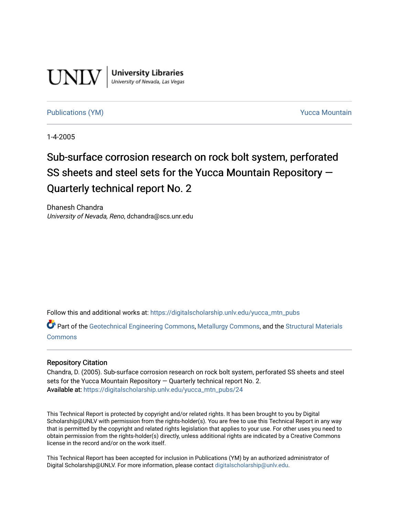

**University Libraries**<br>University of Nevada, Las Vegas

#### [Publications \(YM\)](https://digitalscholarship.unlv.edu/yucca_mtn_pubs) **Publications (YM) Publications (YM) Publications** (*YM*)

1-4-2005

# Sub-surface corrosion research on rock bolt system, perforated SS sheets and steel sets for the Yucca Mountain Repository — Quarterly technical report No. 2

Dhanesh Chandra University of Nevada, Reno, dchandra@scs.unr.edu

Follow this and additional works at: [https://digitalscholarship.unlv.edu/yucca\\_mtn\\_pubs](https://digitalscholarship.unlv.edu/yucca_mtn_pubs?utm_source=digitalscholarship.unlv.edu%2Fyucca_mtn_pubs%2F24&utm_medium=PDF&utm_campaign=PDFCoverPages)

Part of the [Geotechnical Engineering Commons,](http://network.bepress.com/hgg/discipline/255?utm_source=digitalscholarship.unlv.edu%2Fyucca_mtn_pubs%2F24&utm_medium=PDF&utm_campaign=PDFCoverPages) [Metallurgy Commons,](http://network.bepress.com/hgg/discipline/288?utm_source=digitalscholarship.unlv.edu%2Fyucca_mtn_pubs%2F24&utm_medium=PDF&utm_campaign=PDFCoverPages) and the [Structural Materials](http://network.bepress.com/hgg/discipline/291?utm_source=digitalscholarship.unlv.edu%2Fyucca_mtn_pubs%2F24&utm_medium=PDF&utm_campaign=PDFCoverPages)  [Commons](http://network.bepress.com/hgg/discipline/291?utm_source=digitalscholarship.unlv.edu%2Fyucca_mtn_pubs%2F24&utm_medium=PDF&utm_campaign=PDFCoverPages)

#### Repository Citation

Chandra, D. (2005). Sub-surface corrosion research on rock bolt system, perforated SS sheets and steel sets for the Yucca Mountain Repository — Quarterly technical report No. 2. Available at: [https://digitalscholarship.unlv.edu/yucca\\_mtn\\_pubs/24](https://digitalscholarship.unlv.edu/yucca_mtn_pubs/24) 

This Technical Report is protected by copyright and/or related rights. It has been brought to you by Digital Scholarship@UNLV with permission from the rights-holder(s). You are free to use this Technical Report in any way that is permitted by the copyright and related rights legislation that applies to your use. For other uses you need to obtain permission from the rights-holder(s) directly, unless additional rights are indicated by a Creative Commons license in the record and/or on the work itself.

This Technical Report has been accepted for inclusion in Publications (YM) by an authorized administrator of Digital Scholarship@UNLV. For more information, please contact [digitalscholarship@unlv.edu](mailto:digitalscholarship@unlv.edu).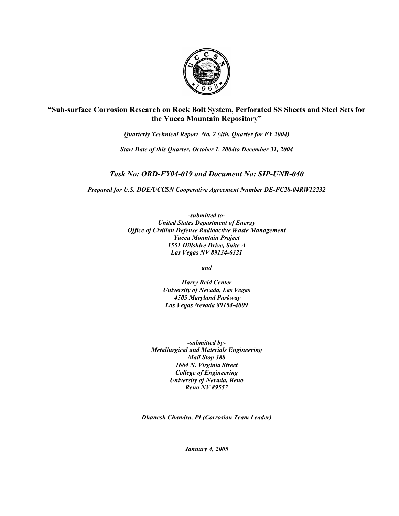

**"Sub-surface Corrosion Research on Rock Bolt System, Perforated SS Sheets and Steel Sets for the Yucca Mountain Repository"**

*Quarterly Technical Report No. 2 (4th. Quarter for FY 2004)* 

*Start Date of this Quarter, October 1, 2004to December 31, 2004* 

*Task No: ORD-FY04-019 and Document No: SIP-UNR-040* 

*Prepared for U.S. DOE/UCCSN Cooperative Agreement Number DE-FC28-04RW12232* 

*-submitted to-United States Department of Energy Office of Civilian Defense Radioactive Waste Management Yucca Mountain Project 1551 Hillshire Drive, Suite A Las Vegas NV 89134-6321* 

*and* 

*Harry Reid Center University of Nevada, Las Vegas 4505 Maryland Parkway Las Vegas Nevada 89154-4009* 

*-submitted by-Metallurgical and Materials Engineering Mail Stop 388 1664 N. Virginia Street College of Engineering University of Nevada, Reno Reno NV 89557* 

*Dhanesh Chandra, PI (Corrosion Team Leader)* 

*January 4, 2005*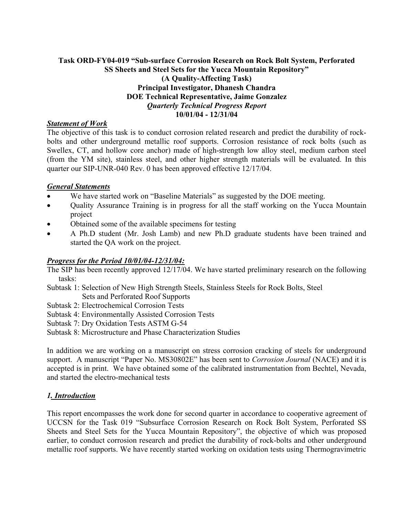## **Task ORD-FY04-019 "Sub-surface Corrosion Research on Rock Bolt System, Perforated SS Sheets and Steel Sets for the Yucca Mountain Repository" (A Quality-Affecting Task) Principal Investigator, Dhanesh Chandra DOE Technical Representative, Jaime Gonzalez**  *Quarterly Technical Progress Report*  **10/01/04 - 12/31/04**

# *Statement of Work*

The objective of this task is to conduct corrosion related research and predict the durability of rockbolts and other underground metallic roof supports. Corrosion resistance of rock bolts (such as Swellex, CT, and hollow core anchor) made of high-strength low alloy steel, medium carbon steel (from the YM site), stainless steel, and other higher strength materials will be evaluated. In this quarter our SIP-UNR-040 Rev. 0 has been approved effective 12/17/04.

#### *General Statements*

- We have started work on "Baseline Materials" as suggested by the DOE meeting.
- Ouality Assurance Training is in progress for all the staff working on the Yucca Mountain project
- Obtained some of the available specimens for testing
- A Ph.D student (Mr. Josh Lamb) and new Ph.D graduate students have been trained and started the QA work on the project.

## *Progress for the Period 10/01/04-12/31/04:*

The SIP has been recently approved 12/17/04. We have started preliminary research on the following tasks:

- Subtask 1: Selection of New High Strength Steels, Stainless Steels for Rock Bolts, Steel Sets and Perforated Roof Supports
- Subtask 2: Electrochemical Corrosion Tests
- Subtask 4: Environmentally Assisted Corrosion Tests
- Subtask 7: Dry Oxidation Tests ASTM G-54
- Subtask 8: Microstructure and Phase Characterization Studies

In addition we are working on a manuscript on stress corrosion cracking of steels for underground support. A manuscript "Paper No. MS30802E" has been sent to *Corrosion Journal* (NACE) and it is accepted is in print. We have obtained some of the calibrated instrumentation from Bechtel, Nevada, and started the electro-mechanical tests

## *1. Introduction*

This report encompasses the work done for second quarter in accordance to cooperative agreement of UCCSN for the Task 019 "Subsurface Corrosion Research on Rock Bolt System, Perforated SS Sheets and Steel Sets for the Yucca Mountain Repository", the objective of which was proposed earlier, to conduct corrosion research and predict the durability of rock-bolts and other underground metallic roof supports. We have recently started working on oxidation tests using Thermogravimetric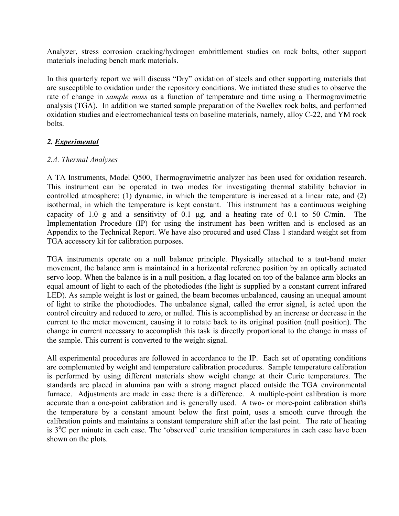Analyzer, stress corrosion cracking/hydrogen embrittlement studies on rock bolts, other support materials including bench mark materials.

In this quarterly report we will discuss "Dry" oxidation of steels and other supporting materials that are susceptible to oxidation under the repository conditions. We initiated these studies to observe the rate of change in *sample mass* as a function of temperature and time using a Thermogravimetric analysis (TGA). In addition we started sample preparation of the Swellex rock bolts, and performed oxidation studies and electromechanical tests on baseline materials, namely, alloy C-22, and YM rock bolts.

# *2. Experimental*

## *2.A. Thermal Analyses*

A TA Instruments, Model Q500, Thermogravimetric analyzer has been used for oxidation research. This instrument can be operated in two modes for investigating thermal stability behavior in controlled atmosphere: (1) dynamic, in which the temperature is increased at a linear rate, and (2) isothermal, in which the temperature is kept constant. This instrument has a continuous weighing capacity of 1.0 g and a sensitivity of 0.1  $\mu$ g, and a heating rate of 0.1 to 50 C/min. The Implementation Procedure (IP) for using the instrument has been written and is enclosed as an Appendix to the Technical Report. We have also procured and used Class 1 standard weight set from TGA accessory kit for calibration purposes.

TGA instruments operate on a null balance principle. Physically attached to a taut-band meter movement, the balance arm is maintained in a horizontal reference position by an optically actuated servo loop. When the balance is in a null position, a flag located on top of the balance arm blocks an equal amount of light to each of the photodiodes (the light is supplied by a constant current infrared LED). As sample weight is lost or gained, the beam becomes unbalanced, causing an unequal amount of light to strike the photodiodes. The unbalance signal, called the error signal, is acted upon the control circuitry and reduced to zero, or nulled. This is accomplished by an increase or decrease in the current to the meter movement, causing it to rotate back to its original position (null position). The change in current necessary to accomplish this task is directly proportional to the change in mass of the sample. This current is converted to the weight signal.

All experimental procedures are followed in accordance to the IP. Each set of operating conditions are complemented by weight and temperature calibration procedures. Sample temperature calibration is performed by using different materials show weight change at their Curie temperatures. The standards are placed in alumina pan with a strong magnet placed outside the TGA environmental furnace. Adjustments are made in case there is a difference. A multiple-point calibration is more accurate than a one-point calibration and is generally used. A two- or more-point calibration shifts the temperature by a constant amount below the first point, uses a smooth curve through the calibration points and maintains a constant temperature shift after the last point. The rate of heating is 3<sup>o</sup>C per minute in each case. The 'observed' curie transition temperatures in each case have been shown on the plots.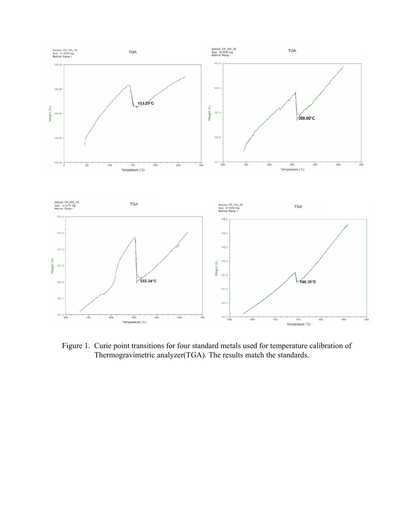

Figure 1. Curie point transitions for four standard metals used for temperature calibration of Thermogravimetric analyzer(TGA). The results match the standards.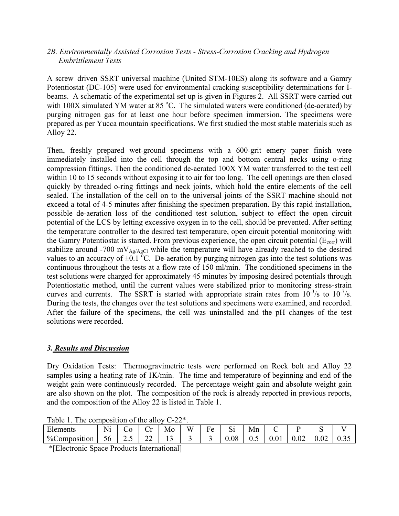## *2B. Environmentally Assisted Corrosion Tests - Stress-Corrosion Cracking and Hydrogen Embrittlement Tests*

A screw–driven SSRT universal machine (United STM-10ES) along its software and a Gamry Potentiostat (DC-105) were used for environmental cracking susceptibility determinations for Ibeams. A schematic of the experimental set up is given in Figures 2. All SSRT were carried out with 100X simulated YM water at 85 °C. The simulated waters were conditioned (de-aerated) by purging nitrogen gas for at least one hour before specimen immersion. The specimens were prepared as per Yucca mountain specifications. We first studied the most stable materials such as Alloy 22.

Then, freshly prepared wet-ground specimens with a 600-grit emery paper finish were immediately installed into the cell through the top and bottom central necks using o-ring compression fittings. Then the conditioned de-aerated 100X YM water transferred to the test cell within 10 to 15 seconds without exposing it to air for too long. The cell openings are then closed quickly by threaded o-ring fittings and neck joints, which hold the entire elements of the cell sealed. The installation of the cell on to the universal joints of the SSRT machine should not exceed a total of 4-5 minutes after finishing the specimen preparation. By this rapid installation, possible de-aeration loss of the conditioned test solution, subject to effect the open circuit potential of the LCS by letting excessive oxygen in to the cell, should be prevented. After setting the temperature controller to the desired test temperature, open circuit potential monitoring with the Gamry Potentiostat is started. From previous experience, the open circuit potential  $(E_{\text{corr}})$  will stabilize around -700 mV $_{Ag/AgCl}$  while the temperature will have already reached to the desired values to an accuracy of  $\pm 0.1$  °C. De-aeration by purging nitrogen gas into the test solutions was continuous throughout the tests at a flow rate of 150 ml/min. The conditioned specimens in the test solutions were charged for approximately 45 minutes by imposing desired potentials through Potentiostatic method, until the current values were stabilized prior to monitoring stress-strain curves and currents. The SSRT is started with appropriate strain rates from  $10^{-3}/s$  to  $10^{-7}/s$ . During the tests, the changes over the test solutions and specimens were examined, and recorded. After the failure of the specimens, the cell was uninstalled and the pH changes of the test solutions were recorded.

## *3. Results and Discussion*

Dry Oxidation Tests: Thermogravimetric tests were performed on Rock bolt and Alloy 22 samples using a heating rate of 1K/min. The time and temperature of beginning and end of the weight gain were continuously recorded. The percentage weight gain and absolute weight gain are also shown on the plot. The composition of the rock is already reported in previous reports, and the composition of the Alloy 22 is listed in Table 1.

| Elements                                 | ∟ ⊤∙ |    | $\cup$ | Mo  | <b>TT7</b><br>w | T. | $\sim$<br>ບi | Mn  |  |      | ້    |  |
|------------------------------------------|------|----|--------|-----|-----------------|----|--------------|-----|--|------|------|--|
| %Composition                             | 56   | ∸… | ∠∠     | . . |                 |    | 0.08         | U.J |  | ∪.∪∠ | 0.02 |  |
| *Electronic Space Products International |      |    |        |     |                 |    |              |     |  |      |      |  |

Table 1. The composition of the alloy C-22\*.

\*[Electronic Space Products International]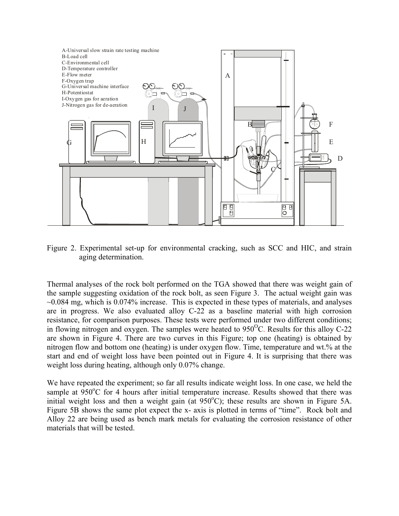

Figure 2. Experimental set-up for environmental cracking, such as SCC and HIC, and strain aging determination.

Thermal analyses of the rock bolt performed on the TGA showed that there was weight gain of the sample suggesting oxidation of the rock bolt, as seen Figure 3. The actual weight gain was  $\sim$ 0.084 mg, which is 0.074% increase. This is expected in these types of materials, and analyses are in progress. We also evaluated alloy C-22 as a baseline material with high corrosion resistance, for comparison purposes. These tests were performed under two different conditions; in flowing nitrogen and oxygen. The samples were heated to  $950^{\circ}$ C. Results for this alloy C-22 are shown in Figure 4. There are two curves in this Figure; top one (heating) is obtained by nitrogen flow and bottom one (heating) is under oxygen flow. Time, temperature and wt.% at the start and end of weight loss have been pointed out in Figure 4. It is surprising that there was weight loss during heating, although only 0.07% change.

We have repeated the experiment; so far all results indicate weight loss. In one case, we held the sample at 950°C for 4 hours after initial temperature increase. Results showed that there was initial weight loss and then a weight gain (at  $950^{\circ}$ C); these results are shown in Figure 5A. Figure 5B shows the same plot expect the x- axis is plotted in terms of "time". Rock bolt and Alloy 22 are being used as bench mark metals for evaluating the corrosion resistance of other materials that will be tested.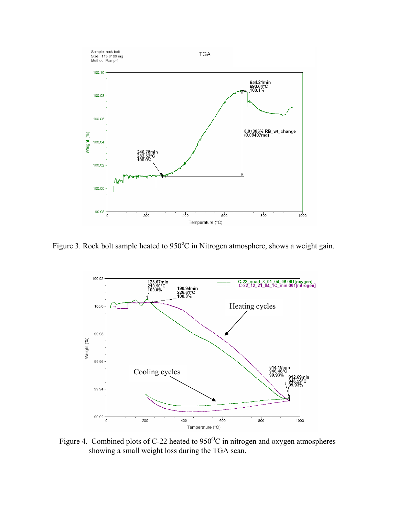

Figure 3. Rock bolt sample heated to  $950^{\circ}$ C in Nitrogen atmosphere, shows a weight gain.



Figure 4. Combined plots of C-22 heated to  $950^{\circ}$ C in nitrogen and oxygen atmospheres showing a small weight loss during the TGA scan.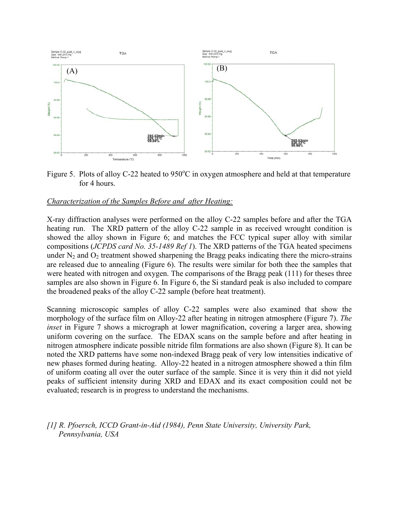

Figure 5. Plots of alloy C-22 heated to  $950^{\circ}$ C in oxygen atmosphere and held at that temperature for 4 hours.

#### *Characterization of the Samples Before and after Heating:*

X-ray diffraction analyses were performed on the alloy C-22 samples before and after the TGA heating run. The XRD pattern of the alloy C-22 sample in as received wrought condition is showed the alloy shown in Figure 6; and matches the FCC typical super alloy with similar compositions (*JCPDS card No. 35-1489 Ref 1*). The XRD patterns of the TGA heated specimens under  $N_2$  and  $O_2$  treatment showed sharpening the Bragg peaks indicating there the micro-strains are released due to annealing (Figure 6). The results were similar for both thee the samples that were heated with nitrogen and oxygen. The comparisons of the Bragg peak (111) for theses three samples are also shown in Figure 6. In Figure 6, the Si standard peak is also included to compare the broadened peaks of the alloy C-22 sample (before heat treatment).

Scanning microscopic samples of alloy C-22 samples were also examined that show the morphology of the surface film on Alloy-22 after heating in nitrogen atmosphere (Figure 7). *The inset* in Figure 7 shows a micrograph at lower magnification, covering a larger area, showing uniform covering on the surface. The EDAX scans on the sample before and after heating in nitrogen atmosphere indicate possible nitride film formations are also shown (Figure 8). It can be noted the XRD patterns have some non-indexed Bragg peak of very low intensities indicative of new phases formed during heating. Alloy-22 heated in a nitrogen atmosphere showed a thin film of uniform coating all over the outer surface of the sample. Since it is very thin it did not yield peaks of sufficient intensity during XRD and EDAX and its exact composition could not be evaluated; research is in progress to understand the mechanisms.

*[1] R. Pfoersch, ICCD Grant-in-Aid (1984), Penn State University, University Park, Pennsylvania, USA*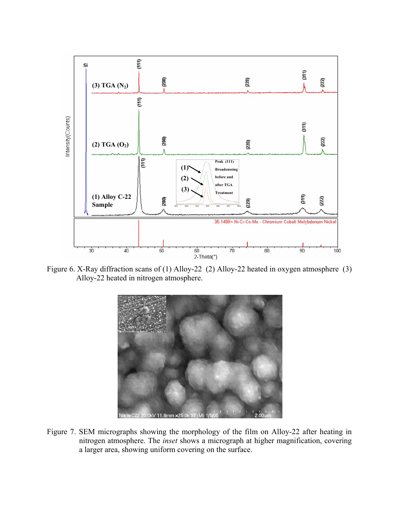

Figure 6. X-Ray diffraction scans of (1) Alloy-22 (2) Alloy-22 heated in oxygen atmosphere (3) Alloy-22 heated in nitrogen atmosphere.



Figure 7. SEM micrographs showing the morphology of the film on Alloy-22 after heating in nitrogen atmosphere. The *inset* shows a micrograph at higher magnification, covering a larger area, showing uniform covering on the surface.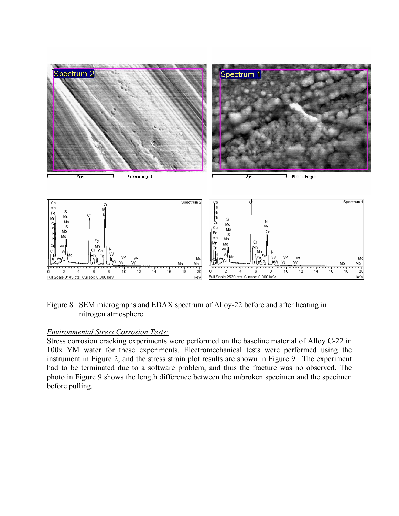

Figure 8. SEM micrographs and EDAX spectrum of Alloy-22 before and after heating in nitrogen atmosphere.

#### *Environmental Stress Corrosion Tests:*

Stress corrosion cracking experiments were performed on the baseline material of Alloy C-22 in 100x YM water for these experiments. Electromechanical tests were performed using the instrument in Figure 2, and the stress strain plot results are shown in Figure 9. The experiment had to be terminated due to a software problem, and thus the fracture was no observed. The photo in Figure 9 shows the length difference between the unbroken specimen and the specimen before pulling.